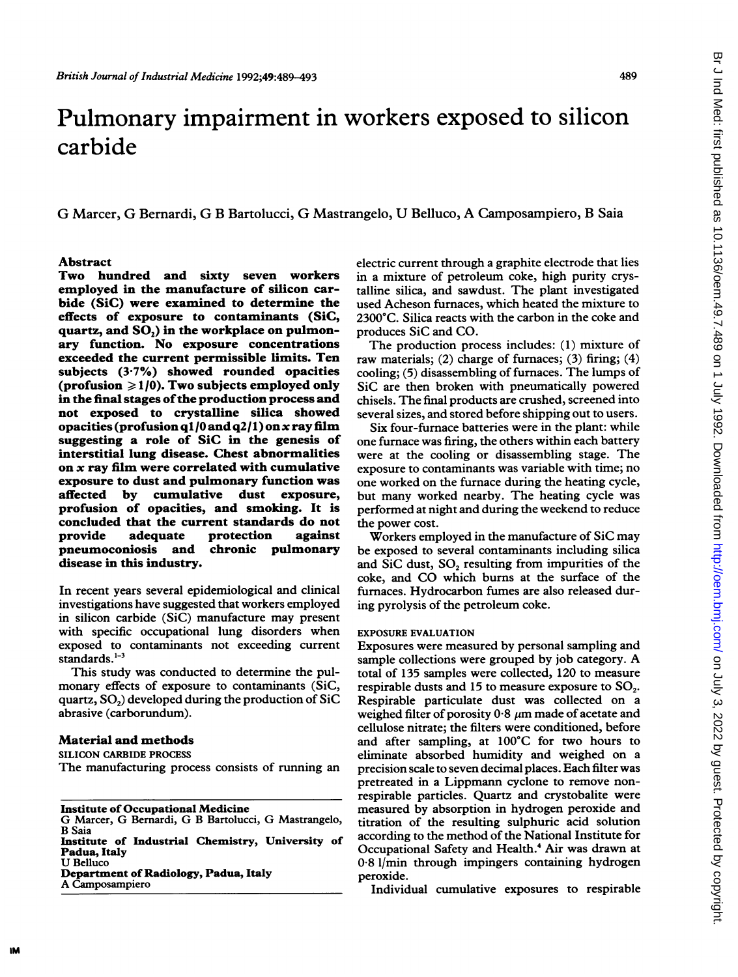# Pulmonary impairment in workers exposed to silicon carbide

G Marcer, G Bernardi, G B Bartolucci, G Mastrangelo, U Belluco, A Camposampiero, B Saia

## Abstract

Two hundred and sixty seven workers employed in the manufacture of silicon carbide (SiC) were examined to determine the effects of exposure to contaminants (SiC, quartz, and  $SO<sub>2</sub>$ ) in the workplace on pulmonary function. No exposure concentrations exceeded the current permissible limits. Ten subjects (3-7%) showed rounded opacities (profusion  $\geq 1/0$ ). Two subjects employed only in the final stages of the production process and not exposed to crystalline silica showed opacities (profusion q1/0 and q2/1) on x ray film suggesting a role of SiC in the genesis of interstitial lung disease. Chest abnormalities on x ray film were correlated with cumulative exposure to dust and pulmonary function was affected by cumulative dust exposure, profusion of opacities, and smoking. It is concluded that the current standards do not protection pneumoconiosis and chronic pulmonary disease in this industry.

In recent years several epidemiological and clinical investigations have suggested that workers employed in silicon carbide (SiC) manufacture may present with specific occupational lung disorders when exposed to contaminants not exceeding current standards. $1-3$ 

This study was conducted to determine the pulmonary effects of exposure to contaminants (SiC, quartz,  $SO<sub>2</sub>$ ) developed during the production of SiC abrasive (carborundum).

# Material and methods

SILICON CARBIDE PROCESS

The manufacturing process consists of running an

Institute of Occupational Medicine

G Marcer, G Bemardi, G B Bartolucci, G Mastrangelo, B Saia

Institute of Industrial Chemistry, University of Padua, Italy U Belluco

Department of Radiology, Padua, Italy

A Camposampiero

electric current through a graphite electrode that lies in a mixture of petroleum coke, high purity crystalline silica, and sawdust. The plant investigated used Acheson furnaces, which heated the mixture to 2300°C. Silica reacts with the carbon in the coke and produces SiC and CO.

The production process includes: (1) mixture of raw materials; (2) charge of furnaces; (3) firing; (4) cooling; (5) disassembling of furnaces. The lumps of SiC are then broken with pneumatically powered chisels. The final products are crushed, screened into several sizes, and stored before shipping out to users.

Six four-fumace batteries were in the plant: while one furnace was firing, the others within each battery were at the cooling or disassembling stage. The exposure to contaminants was variable with time; no one worked on the furnace during the heating cycle, but many worked nearby. The heating cycle was performed at night and during the weekend to reduce the power cost.

Workers employed in the manufacture of SiC may be exposed to several contaminants including silica and SiC dust, SO<sub>2</sub> resulting from impurities of the coke, and CO which burns at the surface of the furnaces. Hydrocarbon fumes are also released during pyrolysis of the petroleum coke.

#### EXPOSURE EVALUATION

Exposures were measured by personal sampling and sample collections were grouped by job category. A total of 135 samples were collected, 120 to measure respirable dusts and 15 to measure exposure to  $SO_2$ . Respirable particulate dust was collected on a weighed filter of porosity  $0.8 \mu m$  made of acetate and cellulose nitrate; the filters were conditioned, before and after sampling, at 100°C for two hours to eliminate absorbed humidity and weighed on a precision scale to seven decimal places. Each filter was pretreated in a Lippmann cyclone to remove nonrespirable particles. Quartz and crystobalite were measured by absorption in hydrogen peroxide and titration of the resulting sulphuric acid solution according to the method of the National Institute for Occupational Safety and Health.<sup>4</sup> Air was drawn at 0-8 1/min through impingers containing hydrogen peroxide.

Individual cumulative exposures to respirable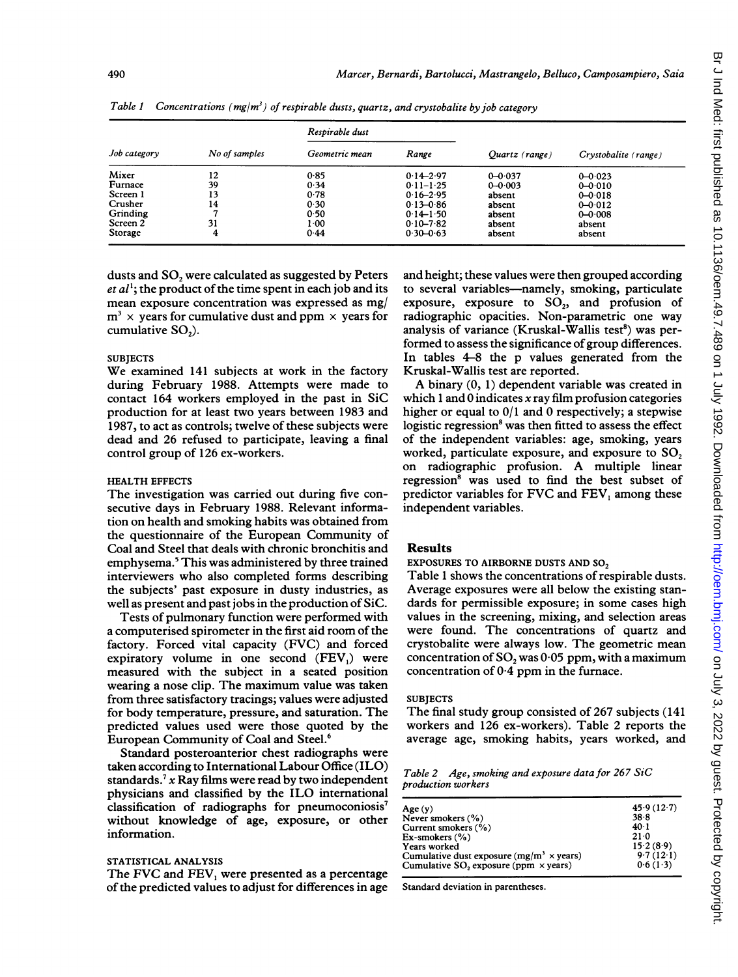|              |               | Respirable dust |               |                |                      |  |
|--------------|---------------|-----------------|---------------|----------------|----------------------|--|
| Job category | No of samples | Geometric mean  | Range         | Quartz (range) | Crystobalite (range) |  |
| Mixer        | 12            | 0.85            | $0.14 - 2.97$ | $0 - 0.037$    | $0 - 0.023$          |  |
| Furnace      | 39            | 0.34            | $0.11 - 1.25$ | $0 - 0.003$    | $0 - 0.010$          |  |
| Screen 1     | 13            | 0.78            | $0.16 - 2.95$ | absent         | $0 - 0.018$          |  |
| Crusher      | 14            | 0.30            | $0.13 - 0.86$ | absent         | $0 - 0.012$          |  |
| Grinding     | 7             | 0.50            | $0.14 - 1.50$ | absent         | $0 - 0.008$          |  |
| Screen 2     | 31            | 1.00            | $0.10 - 7.82$ | absent         | absent               |  |
| Storage      | 4             | 0.44            | $0.30 - 0.63$ | absent         | absent               |  |

Table 1 Concentrations ( $mg/m^3$ ) of respirable dusts, quartz, and crystobalite by job category

dusts and SO<sub>2</sub> were calculated as suggested by Peters  $et al<sup>1</sup>$ ; the product of the time spent in each job and its mean exposure concentration was expressed as mg/  $m<sup>3</sup>$  x years for cumulative dust and ppm  $\times$  years for cumulative SO,).

# **SUBJECTS**

We examined <sup>141</sup> subjects at work in the factory during February 1988. Attempts were made to contact 164 workers employed in the past in SiC production for at least two years between 1983 and 1987, to act as controls; twelve of these subjects were dead and 26 refused to participate, leaving a final control group of 126 ex-workers.

#### HEALTH EFFECTS

The investigation was carried out during five consecutive days in February 1988. Relevant information on health and smoking habits was obtained from the questionnaire of the European Community of Coal and Steel that deals with chronic bronchitis and emphysema.5 This was administered by three trained interviewers who also completed forms describing the subjects' past exposure in dusty industries, as well as present and past jobs in the production of SiC.

Tests of pulmonary function were performed with a computerised spirometer in the first aid room of the factory. Forced vital capacity (FVC) and forced expiratory volume in one second (FEV1) were measured with the subject in a seated position wearing <sup>a</sup> nose clip. The maximum value was taken from three satisfactory tracings; values were adjusted for body temperature, pressure, and saturation. The predicted values used were those quoted by the European Community of Coal and Steel.6

Standard posteroanterior chest radiographs were taken according to International Labour Office (ILO) standards.<sup>7</sup> x Ray films were read by two independent physicians and classified by the ILO international classification of radiographs for pneumoconiosis' without knowledge of age, exposure, or other information.

#### STATISTICAL ANALYSIS

The FVC and FEV, were presented as <sup>a</sup> percentage of the predicted values to adjust for differences in age and height; these values were then grouped according to several variables-namely, smoking, particulate exposure, exposure to SO,, and profusion of radiographic opacities. Non-parametric one way analysis of variance (Kruskal-Wallis test<sup>8</sup>) was performed to assess the significance of group differences. In tables 4-8 the p values generated from the Kruskal-Wallis test are reported.

A binary (0, 1) dependent variable was created in which 1 and 0 indicates  $x$  ray film profusion categories higher or equal to 0/1 and 0 respectively; a stepwise logistic regression<sup>8</sup> was then fitted to assess the effect of the independent variables: age, smoking, years worked, particulate exposure, and exposure to SO, on radiographic profusion. A multiple linear regression<sup>8</sup> was used to find the best subset of predictor variables for FVC and FEV, among these independent variables.

## Results

EXPOSURES TO AIRBORNE DUSTS AND SO<sub>2</sub>

Table <sup>1</sup> shows the concentrations of respirable dusts. Average exposures were all below the existing standards for permissible exposure; in some cases high values in the screening, mixing, and selection areas were found. The concentrations of quartz and crystobalite were always low. The geometric mean concentration of  $SO_2$  was  $0.05$  ppm, with a maximum concentration of 0-4 ppm in the furnace.

#### **SUBJECTS**

The final study group consisted of 267 subjects (141 workers and 126 ex-workers). Table 2 reports the average age, smoking habits, years worked, and

Table 2 Age, smoking and exposure data for 267 SiC production workers

| Age(y)                                                  | 45.9(12.7) |
|---------------------------------------------------------|------------|
| Never smokers (%)                                       | 38.8       |
| Current smokers (%)                                     | $40-1$     |
| $Ex$ -smokers $(\% )$                                   | $21-0$     |
| Years worked                                            | 15.2(8.9)  |
| Cumulative dust exposure $(mg/m^3 \times \text{years})$ | 9.7(12.1)  |
| Cumulative SO, exposure (ppm $\times$ years)            | 0.6(1.3)   |
|                                                         |            |

Standard deviation in parentheses.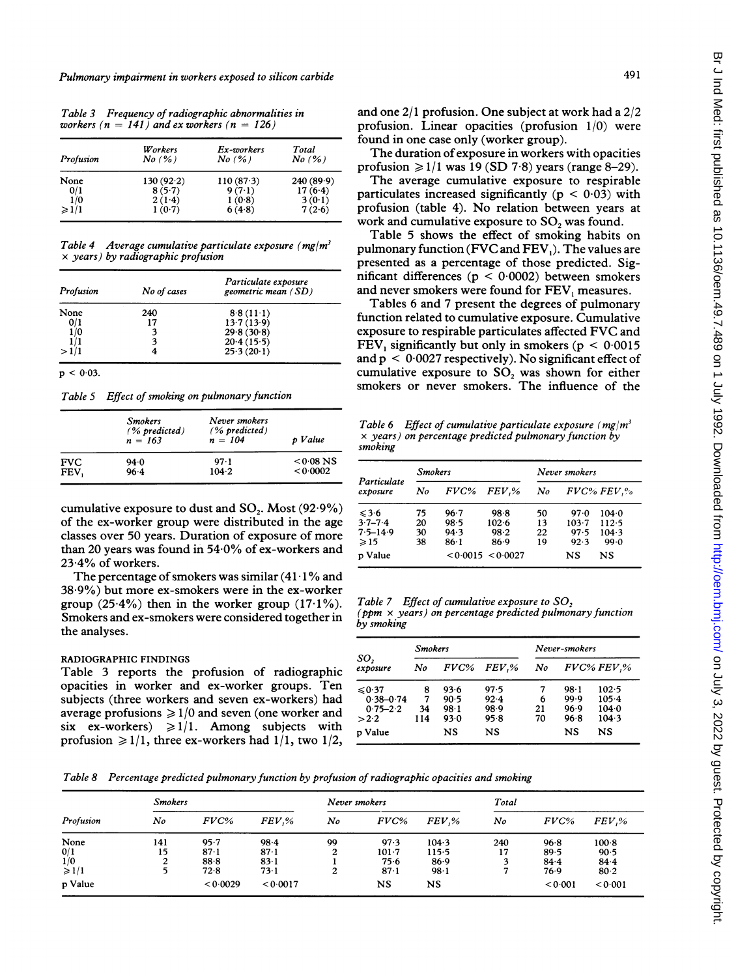491

| Profusion       | Workers<br>No(%)                                                                                                | Ex-workers<br>No(%) | Total<br>No(%) |
|-----------------|-----------------------------------------------------------------------------------------------------------------|---------------------|----------------|
| None            | 130(92.2)                                                                                                       | 110(87.3)           | 240(89.9)      |
| 0/1             | 8(5.7)                                                                                                          | 9(7.1)              | 17(6.4)        |
| 1/0             | $2(1-4)$                                                                                                        | 1(0.8)              | 3(0.1)         |
| $\geqslant$ 1/1 | 1(0.7)                                                                                                          | 6(4.8)              | 7(2.6)         |
|                 | Table 4 Average cumulative particulate exposure (mg/m <sup>3</sup><br>$\times$ years) by radiographic profusion |                     |                |
|                 |                                                                                                                 |                     |                |

 $25.3(20.1)$ 

Profusion No of cases geometric mean (SD) None 240 8.8 (11.1)<br>0/1 17 13.7 (13.9)  $\frac{0}{1}$  17 13.7 (13.9)<br>1/0 3 29.8 (30.8) 3  $29.8 (30.8)$ <br>3  $20.4 (15.5)$ 

 $p < 0.03$ .

Table 5 Effect of smoking on pulmonary function

 $\frac{1}{1}$  3 20.4 (15.5)<br>  $>1/1$  4 25.3 (20.1)

|            | <b>Smokers</b><br>$(%$ predicted)<br>$n = 163$ | Never smokers<br>$(%$ predicted)<br>$n = 104$ | p Value     |
|------------|------------------------------------------------|-----------------------------------------------|-------------|
| <b>FVC</b> | 94 0                                           | 97.1                                          | $< 0.08$ NS |
| FEV,       | $96-4$                                         | 104.2                                         | < 0.0002    |

cumulative exposure to dust and  $SO_2$ . Most (92.9%) of the ex-worker group were distributed in the age classes over 50 years. Duration of exposure of more than 20 years was found in  $54.0\%$  of ex-workers and 23-4% of workers.

The percentage of smokers was similar  $(41.1\%$  and 38 9%) but more ex-smokers were in the ex-worker group  $(25.4\%)$  then in the worker group  $(17.1\%)$ . Smokers and ex-smokers were considered together in the analyses.

### RADIOGRAPHIC FINDINGS

Table 3 reports the profusion of radiographic opacities in worker and ex-worker groups. Ten subjects (three workers and seven ex-workers) had average profusions  $\geq 1/0$  and seven (one worker and six ex-workers)  $\geq 1/1$ . Among subjects with profusion  $\geq 1/1$ , three ex-workers had  $1/1$ , two  $1/2$ , and one 2/1 profusion. One subject at work had <sup>a</sup> 2/2 ofusion. Linear opacities (profusion  $1/0$ ) were and in one case only (worker group).

The duration of exposure in workers with opacities ofusion  $\geq 1/1$  was 19 (SD 7.8) years (range 8–29).

The average cumulative exposure to respirable rticulates increased significantly ( $p < 0.03$ ) with ofusion (table 4). No relation between years at ork and cumulative exposure to  $SO<sub>2</sub>$  was found.

Table 5 shows the effect of smoking habits on ilmonary function (FVC and  $FEV<sub>1</sub>$ ). The values are esented as a percentage of those predicted. Sigficant differences ( $p < 0.0002$ ) between smokers d never smokers were found for FEV, measures.

Tables 6 and 7 present the degrees of pulmonary function related to cumulative exposure. Cumulative exposure to respirable particulates affected FVC and FEV, significantly but only in smokers ( $p < 0.0015$ ) and  $p < 0.0027$  respectively). No significant effect of cumulative exposure to  $SO_2$  was shown for either smokers or never smokers. The influence of the

Table 6 Effect of cumulative particulate exposure ( $mg/m<sup>3</sup>$ x years) on percentage predicted pulmonary function by smoking

|                         | <b>Smokers</b> |          |                   | Never smokers |           |             |
|-------------------------|----------------|----------|-------------------|---------------|-----------|-------------|
| Particulate<br>exposure | No             |          | FVC% FEV.%        | No            |           | FVC% FEV, % |
| $\leq 3.6$              | 75             | 96.7     | 98.8              | 50            | 97.0      | $104 - 0$   |
| $3.7 - 7.4$             | 20             | 98.5     | $102 - 6$         | 13            | $103 - 7$ | 112.5       |
| $7.5 - 14.9$            | 30             | 94.3     | 98.2              | 22            | 97.5      | 104.3       |
| $\geqslant$ 15          | 38             | $86 - 1$ | 86.9              | 19            | 92.3      | 99.0        |
| p Value                 |                |          | < 0.0015 < 0.0027 |               | NS        | NS          |

Table 7 Effect of cumulative exposure to SO, ( $ppm \times years$ ) on percentage predicted pulmonary function by smoking

|                 | <b>Smokers</b> |      |       | Never-smokers |          |            |  |
|-----------------|----------------|------|-------|---------------|----------|------------|--|
| SO,<br>exposure | No             | FVC% | FEV.% | No            |          | FVC% FEV,% |  |
| $\leq 0.37$     | 8              | 93.6 | 97.5  | 7             | $98 - 1$ | $102-5$    |  |
| $0.38 - 0.74$   | 7              | 90.5 | 92.4  | 6             | 99.9     | 105.4      |  |
| $0.75 - 2.2$    | 34             | 98-1 | 98.9  | 21            | 96.9     | 104.0      |  |
| >2.2            | 114            | 93.0 | 95.8  | 70            | 96.8     | 104.3      |  |
| p Value         |                | NS   | NS    |               | NS       | NS         |  |

Table 8 Percentage predicted pulmonary function by profusion of radiographic opacities and smoking

| Profusion     | <b>Smokers</b> |                 |                 | Never smokers |           |          | Total |       |          |
|---------------|----------------|-----------------|-----------------|---------------|-----------|----------|-------|-------|----------|
|               | No             | FVC%            | $FEV,\%$        | No            | $FVC\%$   | $FEV,\%$ | No    | FVC%  | $FEV.$ % |
| None          | 141            | 95.7            | $98-4$          | 99            | 97.3      | 104.3    | 240   | 96.8  | 100.8    |
|               | 15             | 87 <sub>1</sub> | 87 <sub>1</sub> |               | $101 - 7$ | 115.5    | 17    | 89.5  | 90.5     |
| $\frac{0}{1}$ |                | 88.8            | $83 - 1$        |               | 75.6      | 86.9     |       | 84.4  | 844      |
| $\geq 1/1$    |                | 72.8            | 73 1            |               | 87.1      | 98.1     |       | 76.9  | 80.2     |
| p Value       |                | < 0.0029        | < 0.0017        |               | NS        | NS       |       | 0.001 | 0.001    |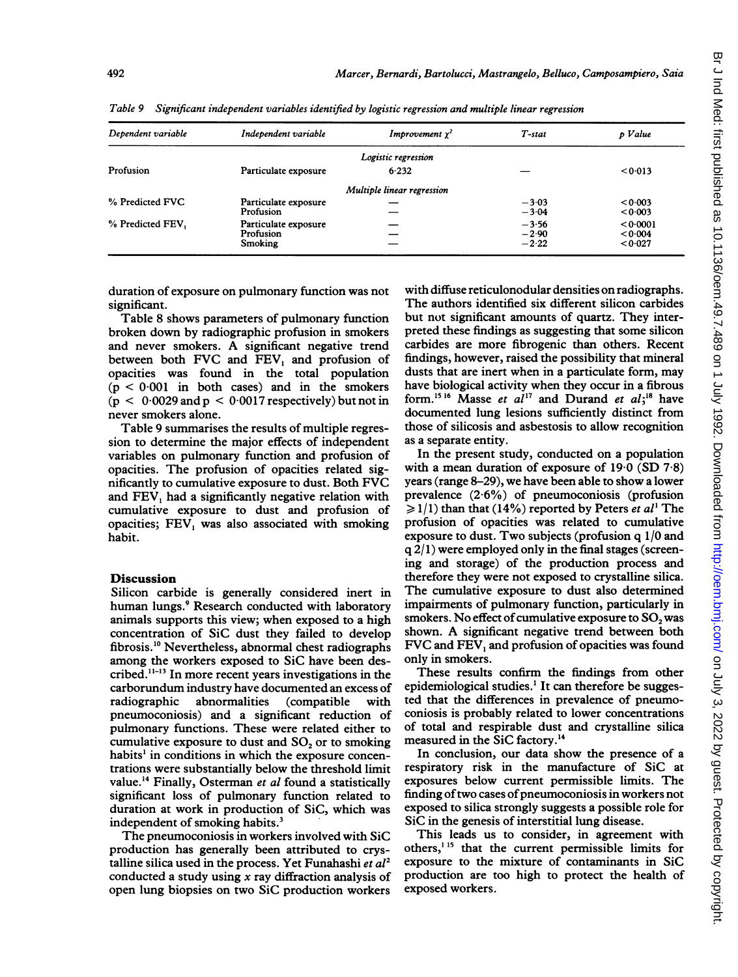| Dependent variable | Independent variable                         | <i>Improvement</i> $\chi^2$ | T-stat                        | p Value                      |
|--------------------|----------------------------------------------|-----------------------------|-------------------------------|------------------------------|
|                    |                                              | Logistic regression         |                               |                              |
| Profusion          | Particulate exposure                         | 6.232                       |                               | < 0.013                      |
|                    |                                              | Multiple linear regression  |                               |                              |
| % Predicted FVC    | Particulate exposure<br>Profusion            |                             | $-3.03$<br>$-3.04$            | < 0.003<br>< 0.003           |
| % Predicted FEV,   | Particulate exposure<br>Profusion<br>Smoking |                             | $-3.56$<br>$-2.90$<br>$-2.22$ | 0.0001<br>< 0.004<br>< 0.027 |

Table 9 Significant independent variables identified by logistic regression and multiple linear regression

duration of exposure on pulmonary function was not significant.

Table 8 shows parameters of pulmonary function broken down by radiographic profusion in smokers and never smokers. A significant negative trend between both FVC and FEV, and profusion of opacities was found in the total population  $(p < 0.001$  in both cases) and in the smokers  $(p < 0.0029$  and  $p < 0.0017$  respectively) but not in never smokers alone.

Table 9 summarises the results of multiple regression to determine the major effects of independent variables on pulmonary function and profusion of opacities. The profusion of opacities related significantly to cumulative exposure to dust. Both FVC and FEV, had <sup>a</sup> significantly negative relation with cumulative exposure to dust and profusion of opacities; FEV<sub>1</sub> was also associated with smoking habit.

#### Discussion

Silicon carbide is generally considered inert in human lungs.<sup>9</sup> Research conducted with laboratory animals supports this view; when exposed to a high concentration of SiC dust they failed to develop fibrosis.'0 Nevertheless, abnormal chest radiographs among the workers exposed to SiC have been described. $11-13$  In more recent years investigations in the carborundum industry have documented an excess of abnormalities (compatible with pneumoconiosis) and a significant reduction of pulmonary functions. These were related either to cumulative exposure to dust and SO<sub>2</sub> or to smoking habits' in conditions in which the exposure concentrations were substantially below the threshold limit value.<sup>14</sup> Finally, Osterman et al found a statistically significant loss of pulmonary function related to duration at work in production of SiC, which was independent of smoking habits.<sup>3</sup>

The pneumoconiosis in workers involved with SiC production has generally been attributed to crystalline silica used in the process. Yet Funahashi et  $al<sup>2</sup>$ conducted a study using  $x$  ray diffraction analysis of open lung biopsies on two SiC production workers

with diffuse reticulonodular densities on radiographs. The authors identified six different silicon carbides but not significant amounts of quartz. They interpreted these findings as suggesting that some silicon carbides are more fibrogenic than others. Recent findings, however, raised the possibility that mineral dusts that are inert when in a particulate form, may have biological activity when they occur in a fibrous form.<sup>15 16</sup> Masse et al<sup>17</sup> and Durand et al;<sup>18</sup> have documented lung lesions sufficiently distinct from those of silicosis and asbestosis to allow recognition as a separate entity.

In the present study, conducted on a population with a mean duration of exposure of 19-0 (SD 7-8) years (range 8-29), we have been able to show a lower prevalence (2-6%) of pneumoconiosis (profusion  $\geq 1/1$ ) than that (14%) reported by Peters *et al*<sup>1</sup> The profusion of opacities was related to cumulative exposure to dust. Two subjects (profusion q 1/0 and  $q$  2/1) were employed only in the final stages (screening and storage) of the production process and therefore they were not exposed to crystalline silica. The cumulative exposure to dust also determined impairments of pulmonary function, particularly in smokers. No effect of cumulative exposure to  $SO<sub>2</sub>$  was shown. A significant negative trend between both FVC and FEV, and profusion of opacities was found only in smokers.

These results confirm the findings from other epidemiological studies.' It can therefore be suggested that the differences in prevalence of pneumoconiosis is probably related to lower concentrations of total and respirable dust and crystalline silica measured in the SiC factory.14

In conclusion, our data show the presence of a respiratory risk in the manufacture of SiC at exposures below current permissible limits. The finding of two cases of pneumoconiosis in workers not exposed to silica strongly suggests a possible role for SiC in the genesis of interstitial lung disease.

This leads us to consider, in agreement with others,<sup>115</sup> that the current permissible limits for exposure to the mixture of contaminants in SiC production are too high to protect the health of exposed workers.